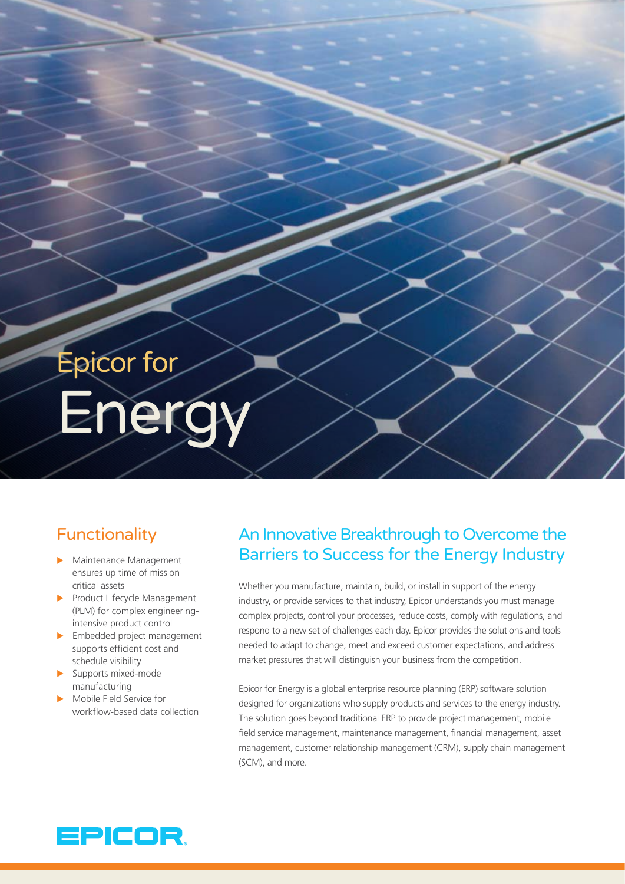# Epicor for Ene

# **Functionality**

- $\blacktriangleright$  Maintenance Management ensures up time of mission critical assets
- Product Lifecycle Management (PLM) for complex engineeringintensive product control
- $\blacktriangleright$  Embedded project management supports efficient cost and schedule visibility
- $\blacktriangleright$  Supports mixed-mode manufacturing
- Mobile Field Service for workflow-based data collection

# An Innovative Breakthrough to Overcome the Barriers to Success for the Energy Industry

Whether you manufacture, maintain, build, or install in support of the energy industry, or provide services to that industry, Epicor understands you must manage complex projects, control your processes, reduce costs, comply with regulations, and respond to a new set of challenges each day. Epicor provides the solutions and tools needed to adapt to change, meet and exceed customer expectations, and address market pressures that will distinguish your business from the competition.

Epicor for Energy is a global enterprise resource planning (ERP) software solution designed for organizations who supply products and services to the energy industry. The solution goes beyond traditional ERP to provide project management, mobile field service management, maintenance management, financial management, asset management, customer relationship management (CRM), supply chain management (SCM), and more.

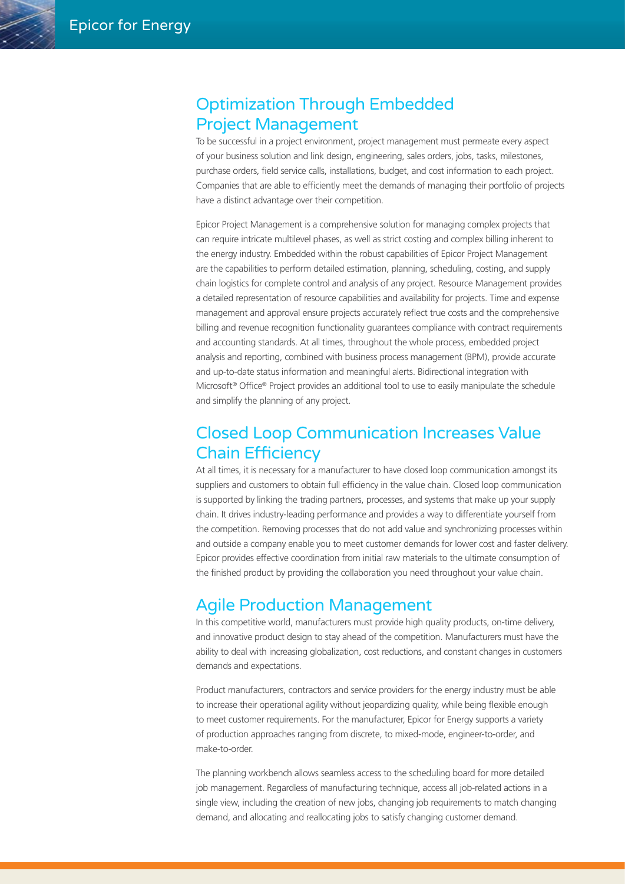#### Optimization Through Embedded Project Management

To be successful in a project environment, project management must permeate every aspect of your business solution and link design, engineering, sales orders, jobs, tasks, milestones, purchase orders, field service calls, installations, budget, and cost information to each project. Companies that are able to efficiently meet the demands of managing their portfolio of projects have a distinct advantage over their competition.

Epicor Project Management is a comprehensive solution for managing complex projects that can require intricate multilevel phases, as well as strict costing and complex billing inherent to the energy industry. Embedded within the robust capabilities of Epicor Project Management are the capabilities to perform detailed estimation, planning, scheduling, costing, and supply chain logistics for complete control and analysis of any project. Resource Management provides a detailed representation of resource capabilities and availability for projects. Time and expense management and approval ensure projects accurately reflect true costs and the comprehensive billing and revenue recognition functionality guarantees compliance with contract requirements and accounting standards. At all times, throughout the whole process, embedded project analysis and reporting, combined with business process management (BPM), provide accurate and up-to-date status information and meaningful alerts. Bidirectional integration with Microsoft<sup>®</sup> Office<sup>®</sup> Project provides an additional tool to use to easily manipulate the schedule and simplify the planning of any project.

### Closed Loop Communication Increases Value Chain Efficiency

At all times, it is necessary for a manufacturer to have closed loop communication amongst its suppliers and customers to obtain full efficiency in the value chain. Closed loop communication is supported by linking the trading partners, processes, and systems that make up your supply chain. It drives industry-leading performance and provides a way to differentiate yourself from the competition. Removing processes that do not add value and synchronizing processes within and outside a company enable you to meet customer demands for lower cost and faster delivery. Epicor provides effective coordination from initial raw materials to the ultimate consumption of the finished product by providing the collaboration you need throughout your value chain.

#### Agile Production Management

In this competitive world, manufacturers must provide high quality products, on-time delivery, and innovative product design to stay ahead of the competition. Manufacturers must have the ability to deal with increasing globalization, cost reductions, and constant changes in customers demands and expectations.

Product manufacturers, contractors and service providers for the energy industry must be able to increase their operational agility without jeopardizing quality, while being flexible enough to meet customer requirements. For the manufacturer, Epicor for Energy supports a variety of production approaches ranging from discrete, to mixed-mode, engineer-to-order, and make-to-order.

The planning workbench allows seamless access to the scheduling board for more detailed job management. Regardless of manufacturing technique, access all job-related actions in a single view, including the creation of new jobs, changing job requirements to match changing demand, and allocating and reallocating jobs to satisfy changing customer demand.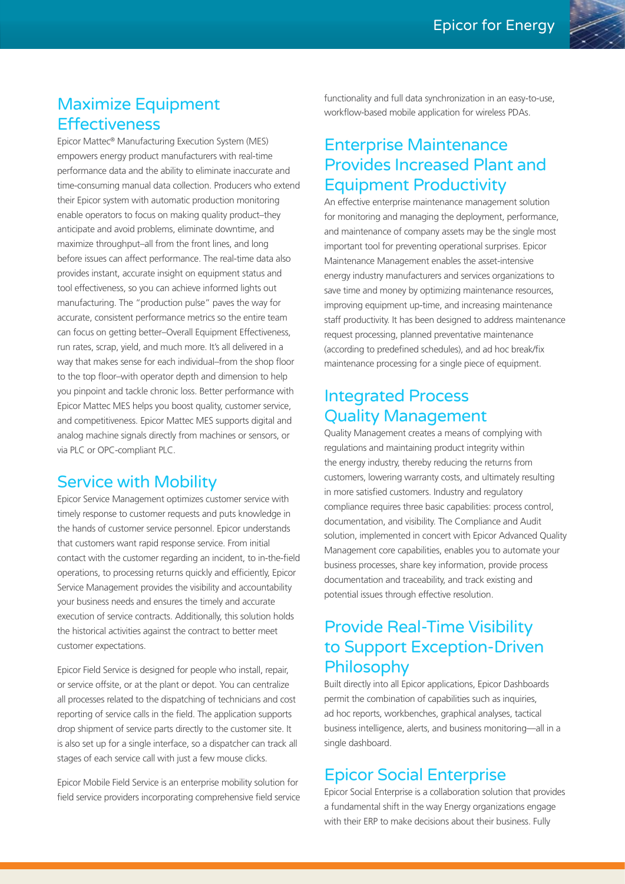#### Maximize Equipment **Effectiveness**

Epicor Mattec® Manufacturing Execution System (MES) empowers energy product manufacturers with real-time performance data and the ability to eliminate inaccurate and time-consuming manual data collection. Producers who extend their Epicor system with automatic production monitoring enable operators to focus on making quality product–they anticipate and avoid problems, eliminate downtime, and maximize throughput–all from the front lines, and long before issues can affect performance. The real-time data also provides instant, accurate insight on equipment status and tool effectiveness, so you can achieve informed lights out manufacturing. The "production pulse" paves the way for accurate, consistent performance metrics so the entire team can focus on getting better–Overall Equipment Effectiveness, run rates, scrap, yield, and much more. It's all delivered in a way that makes sense for each individual–from the shop floor to the top floor–with operator depth and dimension to help you pinpoint and tackle chronic loss. Better performance with Epicor Mattec MES helps you boost quality, customer service, and competitiveness. Epicor Mattec MES supports digital and analog machine signals directly from machines or sensors, or via PLC or OPC-compliant PLC.

#### Service with Mobility

Epicor Service Management optimizes customer service with timely response to customer requests and puts knowledge in the hands of customer service personnel. Epicor understands that customers want rapid response service. From initial contact with the customer regarding an incident, to in-the-field operations, to processing returns quickly and efficiently, Epicor Service Management provides the visibility and accountability your business needs and ensures the timely and accurate execution of service contracts. Additionally, this solution holds the historical activities against the contract to better meet customer expectations.

Epicor Field Service is designed for people who install, repair, or service offsite, or at the plant or depot. You can centralize all processes related to the dispatching of technicians and cost reporting of service calls in the field. The application supports drop shipment of service parts directly to the customer site. It is also set up for a single interface, so a dispatcher can track all stages of each service call with just a few mouse clicks.

Epicor Mobile Field Service is an enterprise mobility solution for field service providers incorporating comprehensive field service

functionality and full data synchronization in an easy-to-use, workflow-based mobile application for wireless PDAs.

## Enterprise Maintenance Provides Increased Plant and Equipment Productivity

An effective enterprise maintenance management solution for monitoring and managing the deployment, performance, and maintenance of company assets may be the single most important tool for preventing operational surprises. Epicor Maintenance Management enables the asset-intensive energy industry manufacturers and services organizations to save time and money by optimizing maintenance resources, improving equipment up-time, and increasing maintenance staff productivity. It has been designed to address maintenance request processing, planned preventative maintenance (according to predefined schedules), and ad hoc break/fix maintenance processing for a single piece of equipment.

#### Integrated Process Quality Management

Quality Management creates a means of complying with regulations and maintaining product integrity within the energy industry, thereby reducing the returns from customers, lowering warranty costs, and ultimately resulting in more satisfied customers. Industry and regulatory compliance requires three basic capabilities: process control, documentation, and visibility. The Compliance and Audit solution, implemented in concert with Epicor Advanced Quality Management core capabilities, enables you to automate your business processes, share key information, provide process documentation and traceability, and track existing and potential issues through effective resolution.

## Provide Real-Time Visibility to Support Exception-Driven **Philosophy**

Built directly into all Epicor applications, Epicor Dashboards permit the combination of capabilities such as inquiries, ad hoc reports, workbenches, graphical analyses, tactical business intelligence, alerts, and business monitoring—all in a single dashboard.

#### Epicor Social Enterprise

Epicor Social Enterprise is a collaboration solution that provides a fundamental shift in the way Energy organizations engage with their ERP to make decisions about their business. Fully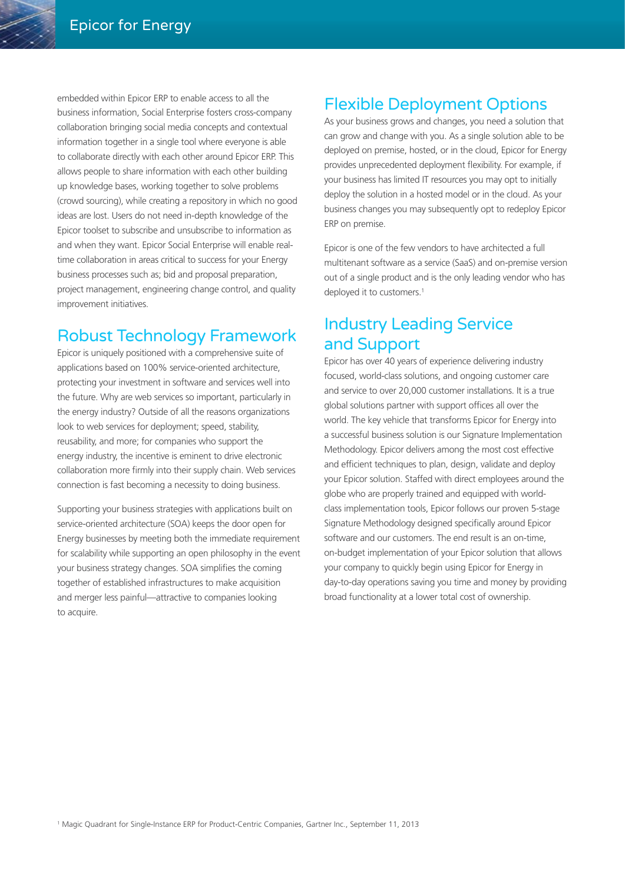embedded within Epicor ERP to enable access to all the business information, Social Enterprise fosters cross-company collaboration bringing social media concepts and contextual information together in a single tool where everyone is able to collaborate directly with each other around Epicor ERP. This allows people to share information with each other building up knowledge bases, working together to solve problems (crowd sourcing), while creating a repository in which no good ideas are lost. Users do not need in-depth knowledge of the Epicor toolset to subscribe and unsubscribe to information as and when they want. Epicor Social Enterprise will enable realtime collaboration in areas critical to success for your Energy business processes such as; bid and proposal preparation, project management, engineering change control, and quality improvement initiatives.

#### Robust Technology Framework

Epicor is uniquely positioned with a comprehensive suite of applications based on 100% service-oriented architecture, protecting your investment in software and services well into the future. Why are web services so important, particularly in the energy industry? Outside of all the reasons organizations look to web services for deployment; speed, stability, reusability, and more; for companies who support the energy industry, the incentive is eminent to drive electronic collaboration more firmly into their supply chain. Web services connection is fast becoming a necessity to doing business.

Supporting your business strategies with applications built on service-oriented architecture (SOA) keeps the door open for Energy businesses by meeting both the immediate requirement for scalability while supporting an open philosophy in the event your business strategy changes. SOA simplifies the coming together of established infrastructures to make acquisition and merger less painful—attractive to companies looking to acquire.

# Flexible Deployment Options

As your business grows and changes, you need a solution that can grow and change with you. As a single solution able to be deployed on premise, hosted, or in the cloud, Epicor for Energy provides unprecedented deployment flexibility. For example, if your business has limited IT resources you may opt to initially deploy the solution in a hosted model or in the cloud. As your business changes you may subsequently opt to redeploy Epicor ERP on premise.

Epicor is one of the few vendors to have architected a full multitenant software as a service (SaaS) and on-premise version out of a single product and is the only leading vendor who has deployed it to customers.<sup>1</sup>

## Industry Leading Service and Support

Epicor has over 40 years of experience delivering industry focused, world-class solutions, and ongoing customer care and service to over 20,000 customer installations. It is a true global solutions partner with support offices all over the world. The key vehicle that transforms Epicor for Energy into a successful business solution is our Signature Implementation Methodology. Epicor delivers among the most cost effective and efficient techniques to plan, design, validate and deploy your Epicor solution. Staffed with direct employees around the globe who are properly trained and equipped with worldclass implementation tools, Epicor follows our proven 5-stage Signature Methodology designed specifically around Epicor software and our customers. The end result is an on-time, on-budget implementation of your Epicor solution that allows your company to quickly begin using Epicor for Energy in day-to-day operations saving you time and money by providing broad functionality at a lower total cost of ownership.